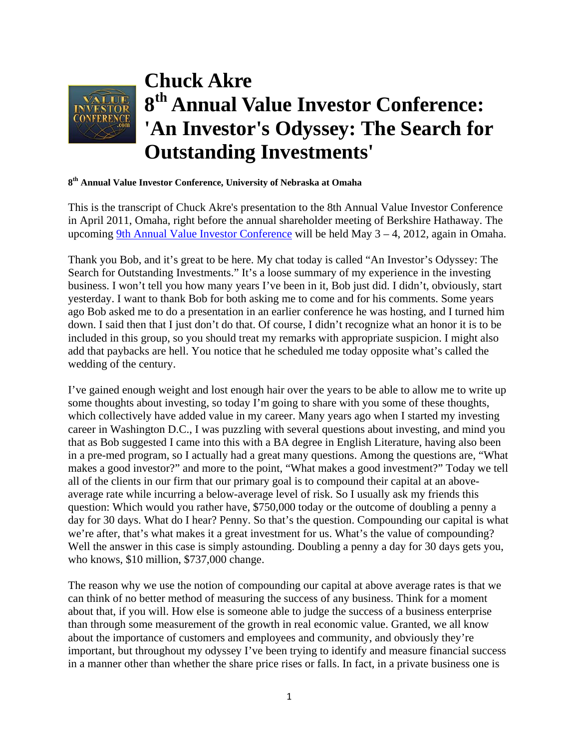

## **8th Annual Value Investor Conference, University of Nebraska at Omaha**

This is the transcript of Chuck Akre's presentation to the 8th Annual Value Investor Conference in April 2011, Omaha, right before the annual shareholder meeting of Berkshire Hathaway. The upcoming [9th Annual Value Investor Conference](http://www.valueinvestorconference.com/) will be held May 3 – 4, 2012, again in Omaha.

Thank you Bob, and it's great to be here. My chat today is called "An Investor's Odyssey: The Search for Outstanding Investments." It's a loose summary of my experience in the investing business. I won't tell you how many years I've been in it, Bob just did. I didn't, obviously, start yesterday. I want to thank Bob for both asking me to come and for his comments. Some years ago Bob asked me to do a presentation in an earlier conference he was hosting, and I turned him down. I said then that I just don't do that. Of course, I didn't recognize what an honor it is to be included in this group, so you should treat my remarks with appropriate suspicion. I might also add that paybacks are hell. You notice that he scheduled me today opposite what's called the wedding of the century.

I've gained enough weight and lost enough hair over the years to be able to allow me to write up some thoughts about investing, so today I'm going to share with you some of these thoughts, which collectively have added value in my career. Many years ago when I started my investing career in Washington D.C., I was puzzling with several questions about investing, and mind you that as Bob suggested I came into this with a BA degree in English Literature, having also been in a pre-med program, so I actually had a great many questions. Among the questions are, "What makes a good investor?" and more to the point, "What makes a good investment?" Today we tell all of the clients in our firm that our primary goal is to compound their capital at an aboveaverage rate while incurring a below-average level of risk. So I usually ask my friends this question: Which would you rather have, \$750,000 today or the outcome of doubling a penny a day for 30 days. What do I hear? Penny. So that's the question. Compounding our capital is what we're after, that's what makes it a great investment for us. What's the value of compounding? Well the answer in this case is simply astounding. Doubling a penny a day for 30 days gets you, who knows, \$10 million, \$737,000 change.

The reason why we use the notion of compounding our capital at above average rates is that we can think of no better method of measuring the success of any business. Think for a moment about that, if you will. How else is someone able to judge the success of a business enterprise than through some measurement of the growth in real economic value. Granted, we all know about the importance of customers and employees and community, and obviously they're important, but throughout my odyssey I've been trying to identify and measure financial success in a manner other than whether the share price rises or falls. In fact, in a private business one is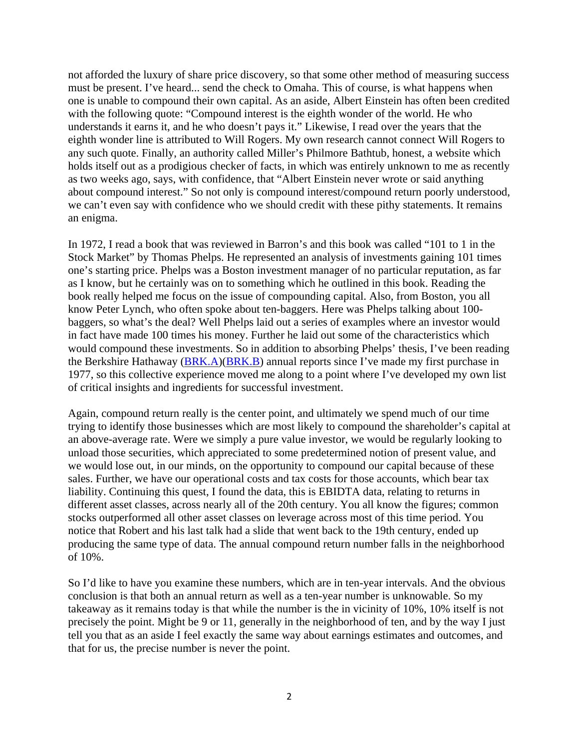not afforded the luxury of share price discovery, so that some other method of measuring success must be present. I've heard... send the check to Omaha. This of course, is what happens when one is unable to compound their own capital. As an aside, Albert Einstein has often been credited with the following quote: "Compound interest is the eighth wonder of the world. He who understands it earns it, and he who doesn't pays it." Likewise, I read over the years that the eighth wonder line is attributed to Will Rogers. My own research cannot connect Will Rogers to any such quote. Finally, an authority called Miller's Philmore Bathtub, honest, a website which holds itself out as a prodigious checker of facts, in which was entirely unknown to me as recently as two weeks ago, says, with confidence, that "Albert Einstein never wrote or said anything about compound interest." So not only is compound interest/compound return poorly understood, we can't even say with confidence who we should credit with these pithy statements. It remains an enigma.

In 1972, I read a book that was reviewed in Barron's and this book was called "101 to 1 in the Stock Market" by Thomas Phelps. He represented an analysis of investments gaining 101 times one's starting price. Phelps was a Boston investment manager of no particular reputation, as far as I know, but he certainly was on to something which he outlined in this book. Reading the book really helped me focus on the issue of compounding capital. Also, from Boston, you all know Peter Lynch, who often spoke about ten-baggers. Here was Phelps talking about 100 baggers, so what's the deal? Well Phelps laid out a series of examples where an investor would in fact have made 100 times his money. Further he laid out some of the characteristics which would compound these investments. So in addition to absorbing Phelps' thesis, I've been reading the Berkshire Hathaway ([BRK.A](http://www.gurufocus.com/StockBuy.php?symbol=BRK.A))[\(BRK.B\)](http://www.gurufocus.com/StockBuy.php?symbol=BRK.B) annual reports since I've made my first purchase in 1977, so this collective experience moved me along to a point where I've developed my own list of critical insights and ingredients for successful investment.

Again, compound return really is the center point, and ultimately we spend much of our time trying to identify those businesses which are most likely to compound the shareholder's capital at an above-average rate. Were we simply a pure value investor, we would be regularly looking to unload those securities, which appreciated to some predetermined notion of present value, and we would lose out, in our minds, on the opportunity to compound our capital because of these sales. Further, we have our operational costs and tax costs for those accounts, which bear tax liability. Continuing this quest, I found the data, this is EBIDTA data, relating to returns in different asset classes, across nearly all of the 20th century. You all know the figures; common stocks outperformed all other asset classes on leverage across most of this time period. You notice that Robert and his last talk had a slide that went back to the 19th century, ended up producing the same type of data. The annual compound return number falls in the neighborhood of 10%.

So I'd like to have you examine these numbers, which are in ten-year intervals. And the obvious conclusion is that both an annual return as well as a ten-year number is unknowable. So my takeaway as it remains today is that while the number is the in vicinity of 10%, 10% itself is not precisely the point. Might be 9 or 11, generally in the neighborhood of ten, and by the way I just tell you that as an aside I feel exactly the same way about earnings estimates and outcomes, and that for us, the precise number is never the point.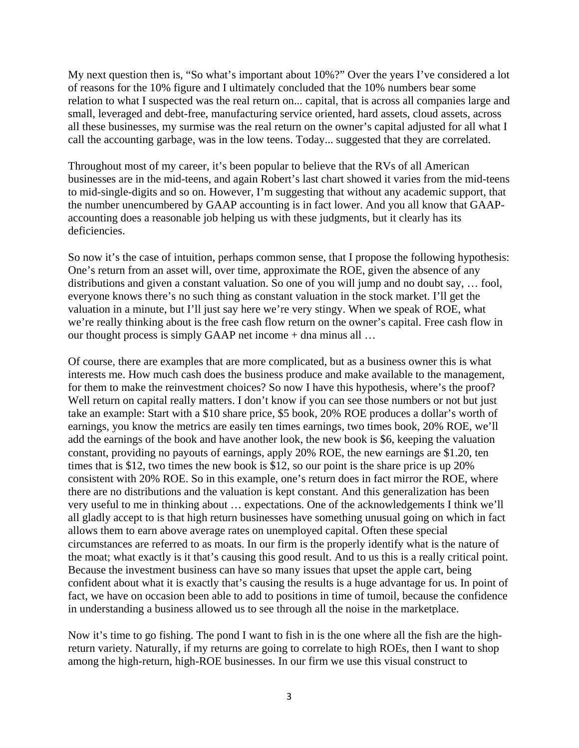My next question then is, "So what's important about 10%?" Over the years I've considered a lot of reasons for the 10% figure and I ultimately concluded that the 10% numbers bear some relation to what I suspected was the real return on... capital, that is across all companies large and small, leveraged and debt-free, manufacturing service oriented, hard assets, cloud assets, across all these businesses, my surmise was the real return on the owner's capital adjusted for all what I call the accounting garbage, was in the low teens. Today... suggested that they are correlated.

Throughout most of my career, it's been popular to believe that the RVs of all American businesses are in the mid-teens, and again Robert's last chart showed it varies from the mid-teens to mid-single-digits and so on. However, I'm suggesting that without any academic support, that the number unencumbered by GAAP accounting is in fact lower. And you all know that GAAPaccounting does a reasonable job helping us with these judgments, but it clearly has its deficiencies.

So now it's the case of intuition, perhaps common sense, that I propose the following hypothesis: One's return from an asset will, over time, approximate the ROE, given the absence of any distributions and given a constant valuation. So one of you will jump and no doubt say, … fool, everyone knows there's no such thing as constant valuation in the stock market. I'll get the valuation in a minute, but I'll just say here we're very stingy. When we speak of ROE, what we're really thinking about is the free cash flow return on the owner's capital. Free cash flow in our thought process is simply GAAP net income + dna minus all …

Of course, there are examples that are more complicated, but as a business owner this is what interests me. How much cash does the business produce and make available to the management, for them to make the reinvestment choices? So now I have this hypothesis, where's the proof? Well return on capital really matters. I don't know if you can see those numbers or not but just take an example: Start with a \$10 share price, \$5 book, 20% ROE produces a dollar's worth of earnings, you know the metrics are easily ten times earnings, two times book, 20% ROE, we'll add the earnings of the book and have another look, the new book is \$6, keeping the valuation constant, providing no payouts of earnings, apply 20% ROE, the new earnings are \$1.20, ten times that is \$12, two times the new book is \$12, so our point is the share price is up 20% consistent with 20% ROE. So in this example, one's return does in fact mirror the ROE, where there are no distributions and the valuation is kept constant. And this generalization has been very useful to me in thinking about … expectations. One of the acknowledgements I think we'll all gladly accept to is that high return businesses have something unusual going on which in fact allows them to earn above average rates on unemployed capital. Often these special circumstances are referred to as moats. In our firm is the properly identify what is the nature of the moat; what exactly is it that's causing this good result. And to us this is a really critical point. Because the investment business can have so many issues that upset the apple cart, being confident about what it is exactly that's causing the results is a huge advantage for us. In point of fact, we have on occasion been able to add to positions in time of tumoil, because the confidence in understanding a business allowed us to see through all the noise in the marketplace.

Now it's time to go fishing. The pond I want to fish in is the one where all the fish are the highreturn variety. Naturally, if my returns are going to correlate to high ROEs, then I want to shop among the high-return, high-ROE businesses. In our firm we use this visual construct to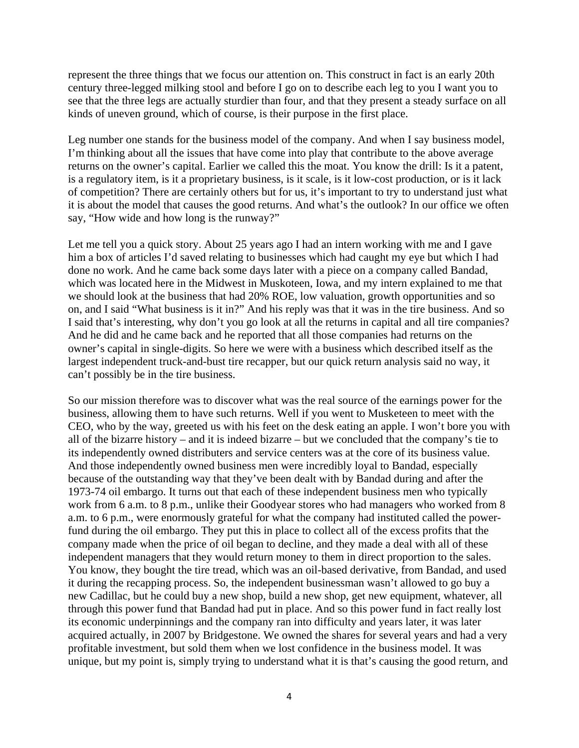represent the three things that we focus our attention on. This construct in fact is an early 20th century three-legged milking stool and before I go on to describe each leg to you I want you to see that the three legs are actually sturdier than four, and that they present a steady surface on all kinds of uneven ground, which of course, is their purpose in the first place.

Leg number one stands for the business model of the company. And when I say business model, I'm thinking about all the issues that have come into play that contribute to the above average returns on the owner's capital. Earlier we called this the moat. You know the drill: Is it a patent, is a regulatory item, is it a proprietary business, is it scale, is it low-cost production, or is it lack of competition? There are certainly others but for us, it's important to try to understand just what it is about the model that causes the good returns. And what's the outlook? In our office we often say, "How wide and how long is the runway?"

Let me tell you a quick story. About 25 years ago I had an intern working with me and I gave him a box of articles I'd saved relating to businesses which had caught my eye but which I had done no work. And he came back some days later with a piece on a company called Bandad, which was located here in the Midwest in Muskoteen, Iowa, and my intern explained to me that we should look at the business that had 20% ROE, low valuation, growth opportunities and so on, and I said "What business is it in?" And his reply was that it was in the tire business. And so I said that's interesting, why don't you go look at all the returns in capital and all tire companies? And he did and he came back and he reported that all those companies had returns on the owner's capital in single-digits. So here we were with a business which described itself as the largest independent truck-and-bust tire recapper, but our quick return analysis said no way, it can't possibly be in the tire business.

So our mission therefore was to discover what was the real source of the earnings power for the business, allowing them to have such returns. Well if you went to Musketeen to meet with the CEO, who by the way, greeted us with his feet on the desk eating an apple. I won't bore you with all of the bizarre history – and it is indeed bizarre – but we concluded that the company's tie to its independently owned distributers and service centers was at the core of its business value. And those independently owned business men were incredibly loyal to Bandad, especially because of the outstanding way that they've been dealt with by Bandad during and after the 1973-74 oil embargo. It turns out that each of these independent business men who typically work from 6 a.m. to 8 p.m., unlike their Goodyear stores who had managers who worked from 8 a.m. to 6 p.m., were enormously grateful for what the company had instituted called the powerfund during the oil embargo. They put this in place to collect all of the excess profits that the company made when the price of oil began to decline, and they made a deal with all of these independent managers that they would return money to them in direct proportion to the sales. You know, they bought the tire tread, which was an oil-based derivative, from Bandad, and used it during the recapping process. So, the independent businessman wasn't allowed to go buy a new Cadillac, but he could buy a new shop, build a new shop, get new equipment, whatever, all through this power fund that Bandad had put in place. And so this power fund in fact really lost its economic underpinnings and the company ran into difficulty and years later, it was later acquired actually, in 2007 by Bridgestone. We owned the shares for several years and had a very profitable investment, but sold them when we lost confidence in the business model. It was unique, but my point is, simply trying to understand what it is that's causing the good return, and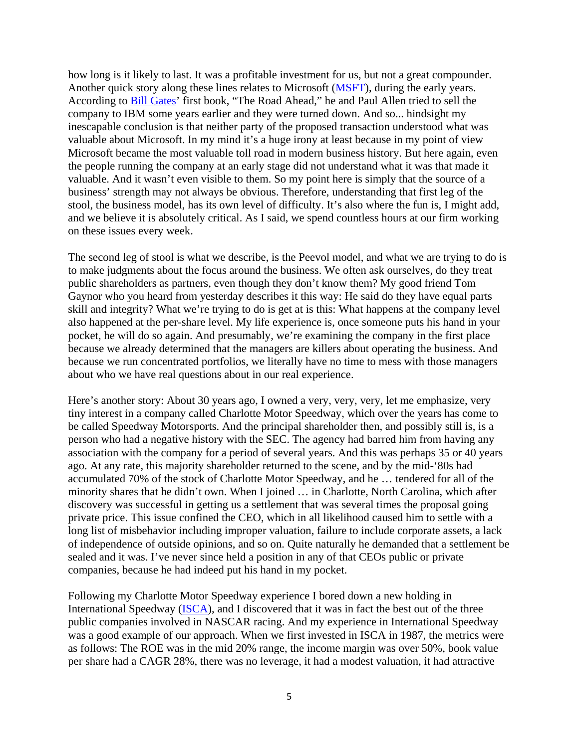how long is it likely to last. It was a profitable investment for us, but not a great compounder. Another quick story along these lines relates to Microsoft ([MSFT](http://www.gurufocus.com/StockBuy.php?symbol=MSFT)), during the early years. According to [Bill Gates](http://www.gurufocus.com/StockBuy.php?GuruName=Bill+Gates)' first book, "The Road Ahead," he and Paul Allen tried to sell the company to IBM some years earlier and they were turned down. And so... hindsight my inescapable conclusion is that neither party of the proposed transaction understood what was valuable about Microsoft. In my mind it's a huge irony at least because in my point of view Microsoft became the most valuable toll road in modern business history. But here again, even the people running the company at an early stage did not understand what it was that made it valuable. And it wasn't even visible to them. So my point here is simply that the source of a business' strength may not always be obvious. Therefore, understanding that first leg of the stool, the business model, has its own level of difficulty. It's also where the fun is, I might add, and we believe it is absolutely critical. As I said, we spend countless hours at our firm working on these issues every week.

The second leg of stool is what we describe, is the Peevol model, and what we are trying to do is to make judgments about the focus around the business. We often ask ourselves, do they treat public shareholders as partners, even though they don't know them? My good friend Tom Gaynor who you heard from yesterday describes it this way: He said do they have equal parts skill and integrity? What we're trying to do is get at is this: What happens at the company level also happened at the per-share level. My life experience is, once someone puts his hand in your pocket, he will do so again. And presumably, we're examining the company in the first place because we already determined that the managers are killers about operating the business. And because we run concentrated portfolios, we literally have no time to mess with those managers about who we have real questions about in our real experience.

Here's another story: About 30 years ago, I owned a very, very, very, let me emphasize, very tiny interest in a company called Charlotte Motor Speedway, which over the years has come to be called Speedway Motorsports. And the principal shareholder then, and possibly still is, is a person who had a negative history with the SEC. The agency had barred him from having any association with the company for a period of several years. And this was perhaps 35 or 40 years ago. At any rate, this majority shareholder returned to the scene, and by the mid-'80s had accumulated 70% of the stock of Charlotte Motor Speedway, and he … tendered for all of the minority shares that he didn't own. When I joined … in Charlotte, North Carolina, which after discovery was successful in getting us a settlement that was several times the proposal going private price. This issue confined the CEO, which in all likelihood caused him to settle with a long list of misbehavior including improper valuation, failure to include corporate assets, a lack of independence of outside opinions, and so on. Quite naturally he demanded that a settlement be sealed and it was. I've never since held a position in any of that CEOs public or private companies, because he had indeed put his hand in my pocket.

Following my Charlotte Motor Speedway experience I bored down a new holding in International Speedway ([ISCA\)](http://www.gurufocus.com/StockBuy.php?symbol=ISCA), and I discovered that it was in fact the best out of the three public companies involved in NASCAR racing. And my experience in International Speedway was a good example of our approach. When we first invested in ISCA in 1987, the metrics were as follows: The ROE was in the mid 20% range, the income margin was over 50%, book value per share had a CAGR 28%, there was no leverage, it had a modest valuation, it had attractive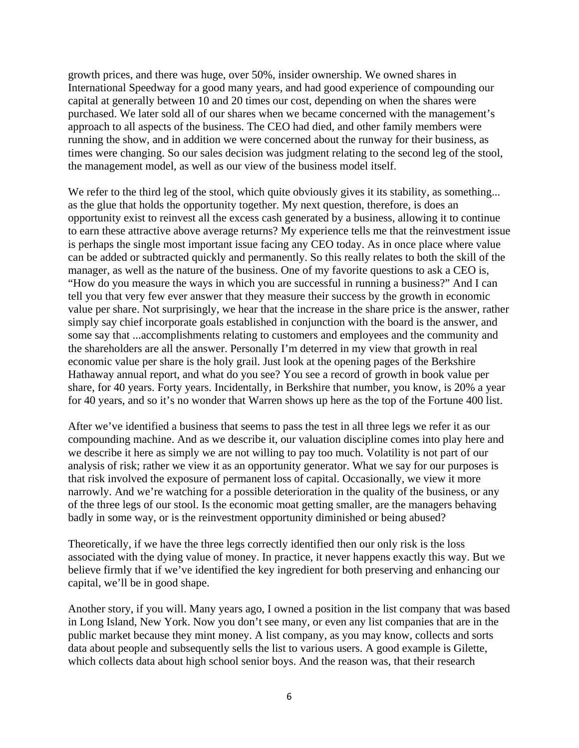growth prices, and there was huge, over 50%, insider ownership. We owned shares in International Speedway for a good many years, and had good experience of compounding our capital at generally between 10 and 20 times our cost, depending on when the shares were purchased. We later sold all of our shares when we became concerned with the management's approach to all aspects of the business. The CEO had died, and other family members were running the show, and in addition we were concerned about the runway for their business, as times were changing. So our sales decision was judgment relating to the second leg of the stool, the management model, as well as our view of the business model itself.

We refer to the third leg of the stool, which quite obviously gives it its stability, as something... as the glue that holds the opportunity together. My next question, therefore, is does an opportunity exist to reinvest all the excess cash generated by a business, allowing it to continue to earn these attractive above average returns? My experience tells me that the reinvestment issue is perhaps the single most important issue facing any CEO today. As in once place where value can be added or subtracted quickly and permanently. So this really relates to both the skill of the manager, as well as the nature of the business. One of my favorite questions to ask a CEO is, "How do you measure the ways in which you are successful in running a business?" And I can tell you that very few ever answer that they measure their success by the growth in economic value per share. Not surprisingly, we hear that the increase in the share price is the answer, rather simply say chief incorporate goals established in conjunction with the board is the answer, and some say that ...accomplishments relating to customers and employees and the community and the shareholders are all the answer. Personally I'm deterred in my view that growth in real economic value per share is the holy grail. Just look at the opening pages of the Berkshire Hathaway annual report, and what do you see? You see a record of growth in book value per share, for 40 years. Forty years. Incidentally, in Berkshire that number, you know, is 20% a year for 40 years, and so it's no wonder that Warren shows up here as the top of the Fortune 400 list.

After we've identified a business that seems to pass the test in all three legs we refer it as our compounding machine. And as we describe it, our valuation discipline comes into play here and we describe it here as simply we are not willing to pay too much. Volatility is not part of our analysis of risk; rather we view it as an opportunity generator. What we say for our purposes is that risk involved the exposure of permanent loss of capital. Occasionally, we view it more narrowly. And we're watching for a possible deterioration in the quality of the business, or any of the three legs of our stool. Is the economic moat getting smaller, are the managers behaving badly in some way, or is the reinvestment opportunity diminished or being abused?

Theoretically, if we have the three legs correctly identified then our only risk is the loss associated with the dying value of money. In practice, it never happens exactly this way. But we believe firmly that if we've identified the key ingredient for both preserving and enhancing our capital, we'll be in good shape.

Another story, if you will. Many years ago, I owned a position in the list company that was based in Long Island, New York. Now you don't see many, or even any list companies that are in the public market because they mint money. A list company, as you may know, collects and sorts data about people and subsequently sells the list to various users. A good example is Gilette, which collects data about high school senior boys. And the reason was, that their research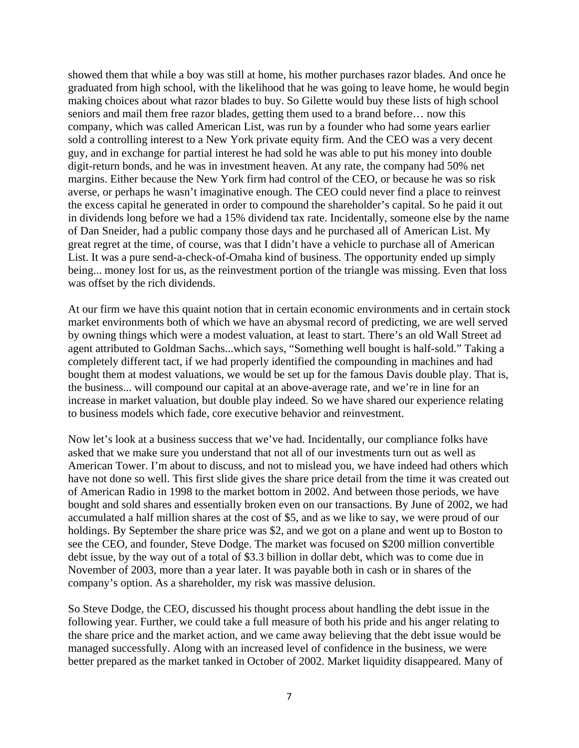showed them that while a boy was still at home, his mother purchases razor blades. And once he graduated from high school, with the likelihood that he was going to leave home, he would begin making choices about what razor blades to buy. So Gilette would buy these lists of high school seniors and mail them free razor blades, getting them used to a brand before… now this company, which was called American List, was run by a founder who had some years earlier sold a controlling interest to a New York private equity firm. And the CEO was a very decent guy, and in exchange for partial interest he had sold he was able to put his money into double digit-return bonds, and he was in investment heaven. At any rate, the company had 50% net margins. Either because the New York firm had control of the CEO, or because he was so risk averse, or perhaps he wasn't imaginative enough. The CEO could never find a place to reinvest the excess capital he generated in order to compound the shareholder's capital. So he paid it out in dividends long before we had a 15% dividend tax rate. Incidentally, someone else by the name of Dan Sneider, had a public company those days and he purchased all of American List. My great regret at the time, of course, was that I didn't have a vehicle to purchase all of American List. It was a pure send-a-check-of-Omaha kind of business. The opportunity ended up simply being... money lost for us, as the reinvestment portion of the triangle was missing. Even that loss was offset by the rich dividends.

At our firm we have this quaint notion that in certain economic environments and in certain stock market environments both of which we have an abysmal record of predicting, we are well served by owning things which were a modest valuation, at least to start. There's an old Wall Street ad agent attributed to Goldman Sachs...which says, "Something well bought is half-sold." Taking a completely different tact, if we had properly identified the compounding in machines and had bought them at modest valuations, we would be set up for the famous Davis double play. That is, the business... will compound our capital at an above-average rate, and we're in line for an increase in market valuation, but double play indeed. So we have shared our experience relating to business models which fade, core executive behavior and reinvestment.

Now let's look at a business success that we've had. Incidentally, our compliance folks have asked that we make sure you understand that not all of our investments turn out as well as American Tower. I'm about to discuss, and not to mislead you, we have indeed had others which have not done so well. This first slide gives the share price detail from the time it was created out of American Radio in 1998 to the market bottom in 2002. And between those periods, we have bought and sold shares and essentially broken even on our transactions. By June of 2002, we had accumulated a half million shares at the cost of \$5, and as we like to say, we were proud of our holdings. By September the share price was \$2, and we got on a plane and went up to Boston to see the CEO, and founder, Steve Dodge. The market was focused on \$200 million convertible debt issue, by the way out of a total of \$3.3 billion in dollar debt, which was to come due in November of 2003, more than a year later. It was payable both in cash or in shares of the company's option. As a shareholder, my risk was massive delusion.

So Steve Dodge, the CEO, discussed his thought process about handling the debt issue in the following year. Further, we could take a full measure of both his pride and his anger relating to the share price and the market action, and we came away believing that the debt issue would be managed successfully. Along with an increased level of confidence in the business, we were better prepared as the market tanked in October of 2002. Market liquidity disappeared. Many of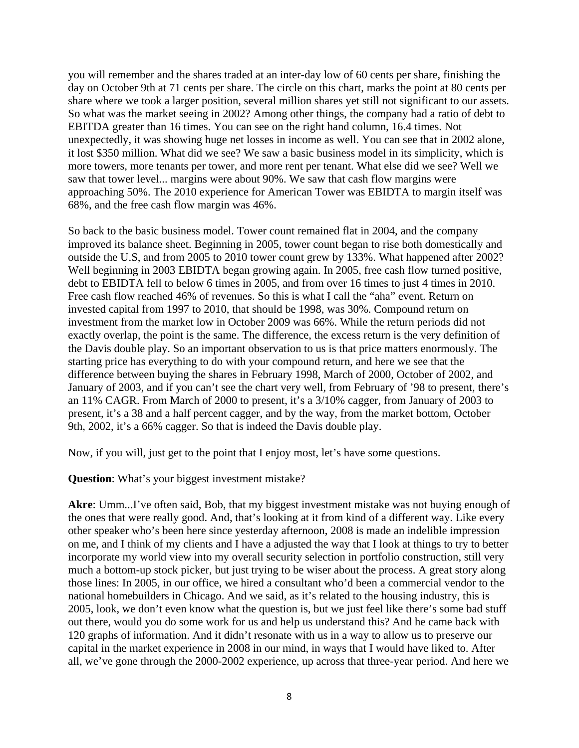you will remember and the shares traded at an inter-day low of 60 cents per share, finishing the day on October 9th at 71 cents per share. The circle on this chart, marks the point at 80 cents per share where we took a larger position, several million shares yet still not significant to our assets. So what was the market seeing in 2002? Among other things, the company had a ratio of debt to EBITDA greater than 16 times. You can see on the right hand column, 16.4 times. Not unexpectedly, it was showing huge net losses in income as well. You can see that in 2002 alone, it lost \$350 million. What did we see? We saw a basic business model in its simplicity, which is more towers, more tenants per tower, and more rent per tenant. What else did we see? Well we saw that tower level... margins were about 90%. We saw that cash flow margins were approaching 50%. The 2010 experience for American Tower was EBIDTA to margin itself was 68%, and the free cash flow margin was 46%.

So back to the basic business model. Tower count remained flat in 2004, and the company improved its balance sheet. Beginning in 2005, tower count began to rise both domestically and outside the U.S, and from 2005 to 2010 tower count grew by 133%. What happened after 2002? Well beginning in 2003 EBIDTA began growing again. In 2005, free cash flow turned positive, debt to EBIDTA fell to below 6 times in 2005, and from over 16 times to just 4 times in 2010. Free cash flow reached 46% of revenues. So this is what I call the "aha" event. Return on invested capital from 1997 to 2010, that should be 1998, was 30%. Compound return on investment from the market low in October 2009 was 66%. While the return periods did not exactly overlap, the point is the same. The difference, the excess return is the very definition of the Davis double play. So an important observation to us is that price matters enormously. The starting price has everything to do with your compound return, and here we see that the difference between buying the shares in February 1998, March of 2000, October of 2002, and January of 2003, and if you can't see the chart very well, from February of '98 to present, there's an 11% CAGR. From March of 2000 to present, it's a 3/10% cagger, from January of 2003 to present, it's a 38 and a half percent cagger, and by the way, from the market bottom, October 9th, 2002, it's a 66% cagger. So that is indeed the Davis double play.

Now, if you will, just get to the point that I enjoy most, let's have some questions.

## **Question**: What's your biggest investment mistake?

**Akre**: Umm...I've often said, Bob, that my biggest investment mistake was not buying enough of the ones that were really good. And, that's looking at it from kind of a different way. Like every other speaker who's been here since yesterday afternoon, 2008 is made an indelible impression on me, and I think of my clients and I have a adjusted the way that I look at things to try to better incorporate my world view into my overall security selection in portfolio construction, still very much a bottom-up stock picker, but just trying to be wiser about the process. A great story along those lines: In 2005, in our office, we hired a consultant who'd been a commercial vendor to the national homebuilders in Chicago. And we said, as it's related to the housing industry, this is 2005, look, we don't even know what the question is, but we just feel like there's some bad stuff out there, would you do some work for us and help us understand this? And he came back with 120 graphs of information. And it didn't resonate with us in a way to allow us to preserve our capital in the market experience in 2008 in our mind, in ways that I would have liked to. After all, we've gone through the 2000-2002 experience, up across that three-year period. And here we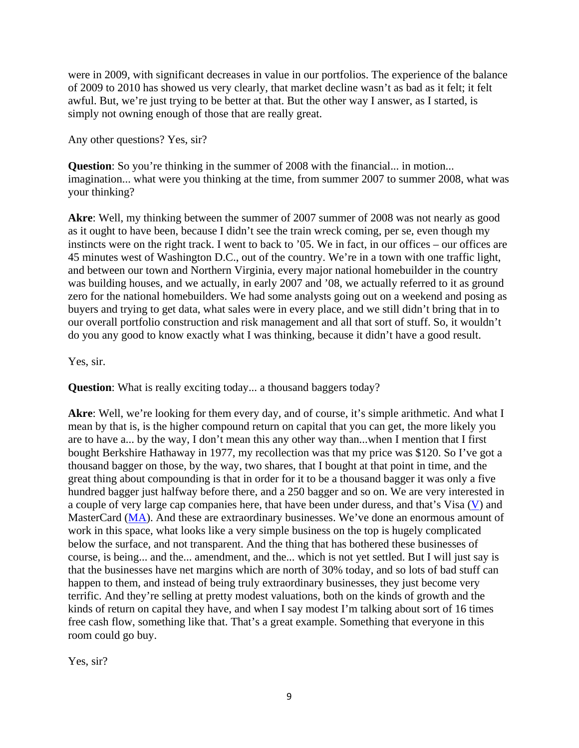were in 2009, with significant decreases in value in our portfolios. The experience of the balance of 2009 to 2010 has showed us very clearly, that market decline wasn't as bad as it felt; it felt awful. But, we're just trying to be better at that. But the other way I answer, as I started, is simply not owning enough of those that are really great.

Any other questions? Yes, sir?

**Question**: So you're thinking in the summer of 2008 with the financial... in motion... imagination... what were you thinking at the time, from summer 2007 to summer 2008, what was your thinking?

**Akre**: Well, my thinking between the summer of 2007 summer of 2008 was not nearly as good as it ought to have been, because I didn't see the train wreck coming, per se, even though my instincts were on the right track. I went to back to '05. We in fact, in our offices – our offices are 45 minutes west of Washington D.C., out of the country. We're in a town with one traffic light, and between our town and Northern Virginia, every major national homebuilder in the country was building houses, and we actually, in early 2007 and '08, we actually referred to it as ground zero for the national homebuilders. We had some analysts going out on a weekend and posing as buyers and trying to get data, what sales were in every place, and we still didn't bring that in to our overall portfolio construction and risk management and all that sort of stuff. So, it wouldn't do you any good to know exactly what I was thinking, because it didn't have a good result.

Yes, sir.

**Question**: What is really exciting today... a thousand baggers today?

**Akre**: Well, we're looking for them every day, and of course, it's simple arithmetic. And what I mean by that is, is the higher compound return on capital that you can get, the more likely you are to have a... by the way, I don't mean this any other way than...when I mention that I first bought Berkshire Hathaway in 1977, my recollection was that my price was \$120. So I've got a thousand bagger on those, by the way, two shares, that I bought at that point in time, and the great thing about compounding is that in order for it to be a thousand bagger it was only a five hundred bagger just halfway before there, and a 250 bagger and so on. We are very interested in a couple of very large cap companies here, that have been under duress, and that's Visa [\(V](http://www.gurufocus.com/StockBuy.php?symbol=V)) and MasterCard ([MA\)](http://www.gurufocus.com/StockBuy.php?symbol=MA). And these are extraordinary businesses. We've done an enormous amount of work in this space, what looks like a very simple business on the top is hugely complicated below the surface, and not transparent. And the thing that has bothered these businesses of course, is being... and the... amendment, and the... which is not yet settled. But I will just say is that the businesses have net margins which are north of 30% today, and so lots of bad stuff can happen to them, and instead of being truly extraordinary businesses, they just become very terrific. And they're selling at pretty modest valuations, both on the kinds of growth and the kinds of return on capital they have, and when I say modest I'm talking about sort of 16 times free cash flow, something like that. That's a great example. Something that everyone in this room could go buy.

Yes, sir?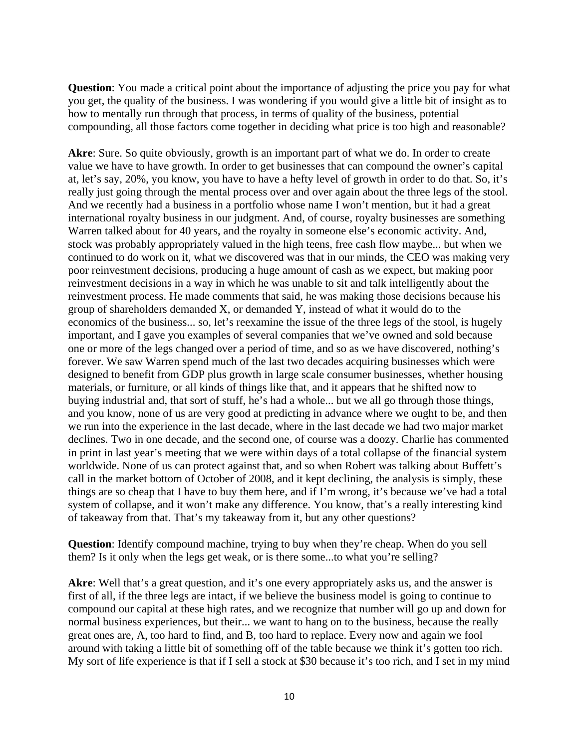**Question**: You made a critical point about the importance of adjusting the price you pay for what you get, the quality of the business. I was wondering if you would give a little bit of insight as to how to mentally run through that process, in terms of quality of the business, potential compounding, all those factors come together in deciding what price is too high and reasonable?

**Akre**: Sure. So quite obviously, growth is an important part of what we do. In order to create value we have to have growth. In order to get businesses that can compound the owner's capital at, let's say, 20%, you know, you have to have a hefty level of growth in order to do that. So, it's really just going through the mental process over and over again about the three legs of the stool. And we recently had a business in a portfolio whose name I won't mention, but it had a great international royalty business in our judgment. And, of course, royalty businesses are something Warren talked about for 40 years, and the royalty in someone else's economic activity. And, stock was probably appropriately valued in the high teens, free cash flow maybe... but when we continued to do work on it, what we discovered was that in our minds, the CEO was making very poor reinvestment decisions, producing a huge amount of cash as we expect, but making poor reinvestment decisions in a way in which he was unable to sit and talk intelligently about the reinvestment process. He made comments that said, he was making those decisions because his group of shareholders demanded X, or demanded Y, instead of what it would do to the economics of the business... so, let's reexamine the issue of the three legs of the stool, is hugely important, and I gave you examples of several companies that we've owned and sold because one or more of the legs changed over a period of time, and so as we have discovered, nothing's forever. We saw Warren spend much of the last two decades acquiring businesses which were designed to benefit from GDP plus growth in large scale consumer businesses, whether housing materials, or furniture, or all kinds of things like that, and it appears that he shifted now to buying industrial and, that sort of stuff, he's had a whole... but we all go through those things, and you know, none of us are very good at predicting in advance where we ought to be, and then we run into the experience in the last decade, where in the last decade we had two major market declines. Two in one decade, and the second one, of course was a doozy. Charlie has commented in print in last year's meeting that we were within days of a total collapse of the financial system worldwide. None of us can protect against that, and so when Robert was talking about Buffett's call in the market bottom of October of 2008, and it kept declining, the analysis is simply, these things are so cheap that I have to buy them here, and if I'm wrong, it's because we've had a total system of collapse, and it won't make any difference. You know, that's a really interesting kind of takeaway from that. That's my takeaway from it, but any other questions?

**Question**: Identify compound machine, trying to buy when they're cheap. When do you sell them? Is it only when the legs get weak, or is there some...to what you're selling?

Akre: Well that's a great question, and it's one every appropriately asks us, and the answer is first of all, if the three legs are intact, if we believe the business model is going to continue to compound our capital at these high rates, and we recognize that number will go up and down for normal business experiences, but their... we want to hang on to the business, because the really great ones are, A, too hard to find, and B, too hard to replace. Every now and again we fool around with taking a little bit of something off of the table because we think it's gotten too rich. My sort of life experience is that if I sell a stock at \$30 because it's too rich, and I set in my mind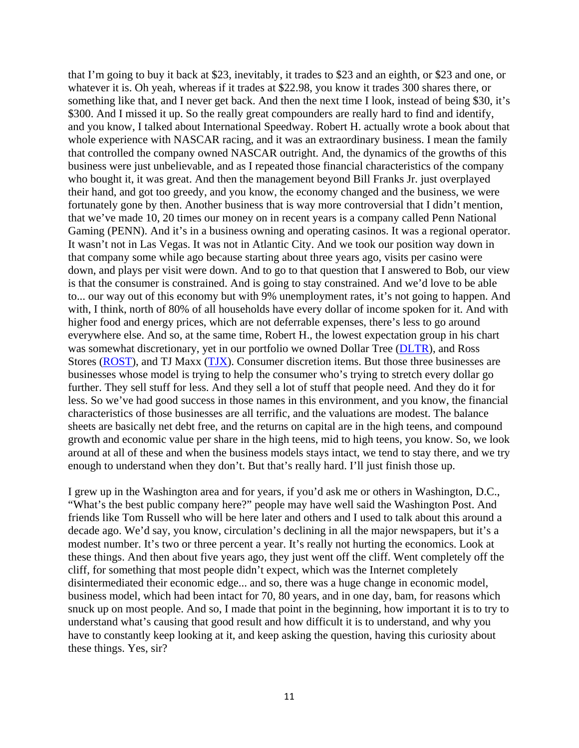that I'm going to buy it back at \$23, inevitably, it trades to \$23 and an eighth, or \$23 and one, or whatever it is. Oh yeah, whereas if it trades at \$22.98, you know it trades 300 shares there, or something like that, and I never get back. And then the next time I look, instead of being \$30, it's \$300. And I missed it up. So the really great compounders are really hard to find and identify, and you know, I talked about International Speedway. Robert H. actually wrote a book about that whole experience with NASCAR racing, and it was an extraordinary business. I mean the family that controlled the company owned NASCAR outright. And, the dynamics of the growths of this business were just unbelievable, and as I repeated those financial characteristics of the company who bought it, it was great. And then the management beyond Bill Franks Jr. just overplayed their hand, and got too greedy, and you know, the economy changed and the business, we were fortunately gone by then. Another business that is way more controversial that I didn't mention, that we've made 10, 20 times our money on in recent years is a company called Penn National Gaming (PENN). And it's in a business owning and operating casinos. It was a regional operator. It wasn't not in Las Vegas. It was not in Atlantic City. And we took our position way down in that company some while ago because starting about three years ago, visits per casino were down, and plays per visit were down. And to go to that question that I answered to Bob, our view is that the consumer is constrained. And is going to stay constrained. And we'd love to be able to... our way out of this economy but with 9% unemployment rates, it's not going to happen. And with, I think, north of 80% of all households have every dollar of income spoken for it. And with higher food and energy prices, which are not deferrable expenses, there's less to go around everywhere else. And so, at the same time, Robert H., the lowest expectation group in his chart was somewhat discretionary, yet in our portfolio we owned Dollar Tree ([DLTR\)](http://www.gurufocus.com/StockBuy.php?symbol=DLTR), and Ross Stores [\(ROST\)](http://www.gurufocus.com/StockBuy.php?symbol=ROST), and TJ Maxx [\(TJX\)](http://www.gurufocus.com/StockBuy.php?symbol=TJX). Consumer discretion items. But those three businesses are businesses whose model is trying to help the consumer who's trying to stretch every dollar go further. They sell stuff for less. And they sell a lot of stuff that people need. And they do it for less. So we've had good success in those names in this environment, and you know, the financial characteristics of those businesses are all terrific, and the valuations are modest. The balance sheets are basically net debt free, and the returns on capital are in the high teens, and compound growth and economic value per share in the high teens, mid to high teens, you know. So, we look around at all of these and when the business models stays intact, we tend to stay there, and we try enough to understand when they don't. But that's really hard. I'll just finish those up.

I grew up in the Washington area and for years, if you'd ask me or others in Washington, D.C., "What's the best public company here?" people may have well said the Washington Post. And friends like Tom Russell who will be here later and others and I used to talk about this around a decade ago. We'd say, you know, circulation's declining in all the major newspapers, but it's a modest number. It's two or three percent a year. It's really not hurting the economics. Look at these things. And then about five years ago, they just went off the cliff. Went completely off the cliff, for something that most people didn't expect, which was the Internet completely disintermediated their economic edge... and so, there was a huge change in economic model, business model, which had been intact for 70, 80 years, and in one day, bam, for reasons which snuck up on most people. And so, I made that point in the beginning, how important it is to try to understand what's causing that good result and how difficult it is to understand, and why you have to constantly keep looking at it, and keep asking the question, having this curiosity about these things. Yes, sir?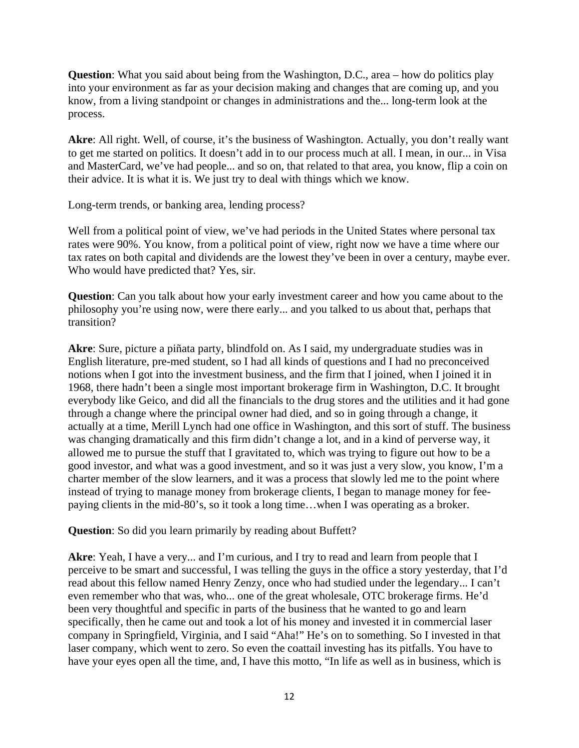**Question**: What you said about being from the Washington, D.C., area – how do politics play into your environment as far as your decision making and changes that are coming up, and you know, from a living standpoint or changes in administrations and the... long-term look at the process.

**Akre**: All right. Well, of course, it's the business of Washington. Actually, you don't really want to get me started on politics. It doesn't add in to our process much at all. I mean, in our... in Visa and MasterCard, we've had people... and so on, that related to that area, you know, flip a coin on their advice. It is what it is. We just try to deal with things which we know.

Long-term trends, or banking area, lending process?

Well from a political point of view, we've had periods in the United States where personal tax rates were 90%. You know, from a political point of view, right now we have a time where our tax rates on both capital and dividends are the lowest they've been in over a century, maybe ever. Who would have predicted that? Yes, sir.

**Question**: Can you talk about how your early investment career and how you came about to the philosophy you're using now, were there early... and you talked to us about that, perhaps that transition?

**Akre**: Sure, picture a piñata party, blindfold on. As I said, my undergraduate studies was in English literature, pre-med student, so I had all kinds of questions and I had no preconceived notions when I got into the investment business, and the firm that I joined, when I joined it in 1968, there hadn't been a single most important brokerage firm in Washington, D.C. It brought everybody like Geico, and did all the financials to the drug stores and the utilities and it had gone through a change where the principal owner had died, and so in going through a change, it actually at a time, Merill Lynch had one office in Washington, and this sort of stuff. The business was changing dramatically and this firm didn't change a lot, and in a kind of perverse way, it allowed me to pursue the stuff that I gravitated to, which was trying to figure out how to be a good investor, and what was a good investment, and so it was just a very slow, you know, I'm a charter member of the slow learners, and it was a process that slowly led me to the point where instead of trying to manage money from brokerage clients, I began to manage money for feepaying clients in the mid-80's, so it took a long time…when I was operating as a broker.

**Question**: So did you learn primarily by reading about Buffett?

**Akre**: Yeah, I have a very... and I'm curious, and I try to read and learn from people that I perceive to be smart and successful, I was telling the guys in the office a story yesterday, that I'd read about this fellow named Henry Zenzy, once who had studied under the legendary... I can't even remember who that was, who... one of the great wholesale, OTC brokerage firms. He'd been very thoughtful and specific in parts of the business that he wanted to go and learn specifically, then he came out and took a lot of his money and invested it in commercial laser company in Springfield, Virginia, and I said "Aha!" He's on to something. So I invested in that laser company, which went to zero. So even the coattail investing has its pitfalls. You have to have your eyes open all the time, and, I have this motto, "In life as well as in business, which is